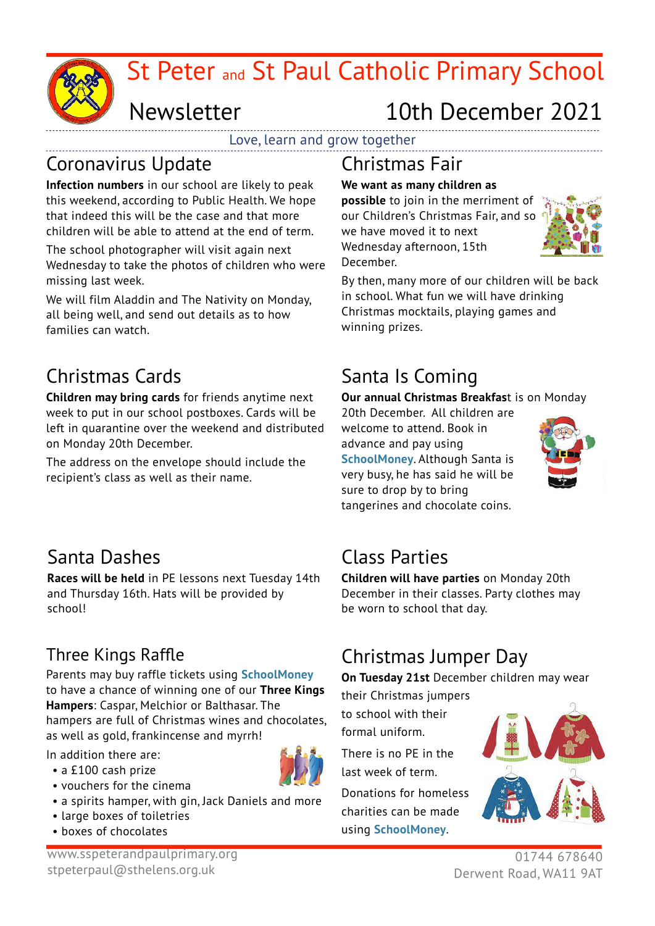

# Newsletter

# 10th December 2021

Love, learn and grow together

### Coronavirus Update

**Infection numbers** in our school are likely to peak this weekend, according to Public Health. We hope that indeed this will be the case and that more children will be able to attend at the end of term.

The school photographer will visit again next Wednesday to take the photos of children who were missing last week.

We will film Aladdin and The Nativity on Monday, all being well, and send out details as to how families can watch.

## Christmas Cards

**Children may bring cards** for friends anytime next week to put in our school postboxes. Cards will be left in quarantine over the weekend and distributed on Monday 20th December.

The address on the envelope should include the recipient's class as well as their name.

#### Christmas Fair

### **We want as many children as**

**possible** to join in the merriment of our Children's Christmas Fair, and so we have moved it to next Wednesday afternoon, 15th December.



By then, many more of our children will be back in school. What fun we will have drinking Christmas mocktails, playing games and winning prizes.

# Santa Is Coming

**Our annual Christmas Breakfas**t is on Monday

20th December. All children are welcome to attend. Book in advance and pay using **SchoolMoney**. Although Santa is very busy, he has said he will be sure to drop by to bring tangerines and chocolate coins.



## Santa Dashes

**Races will be held** in PE lessons next Tuesday 14th and Thursday 16th. Hats will be provided by school!

## Three Kings Raffle

Parents may buy raffle tickets using **SchoolMoney** to have a chance of winning one of our **Three Kings Hampers**: Caspar, Melchior or Balthasar. The hampers are full of Christmas wines and chocolates, as well as gold, frankincense and myrrh!

In addition there are: • a £100 cash prize

- 
- vouchers for the cinema • a spirits hamper, with gin, Jack Daniels and more
- large boxes of toiletries
- boxes of chocolates

## Class Parties

**Children will have parties** on Monday 20th December in their classes. Party clothes may be worn to school that day.

## Christmas Jumper Day

**On Tuesday 21st** December children may wear

their Christmas jumpers

to school with their formal uniform.

There is no PE in the last week of term.

Donations for homeless charities can be made using **SchoolMoney**.